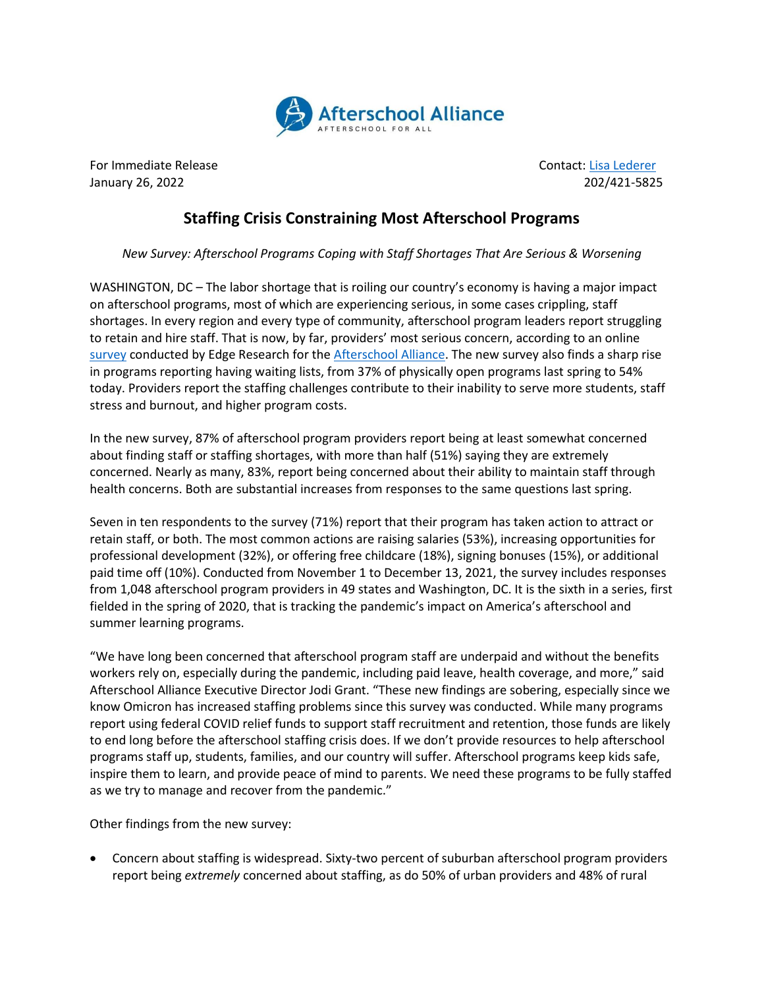

For Immediate Release Contact: [Lisa Lederer](mailto:lisa@prsolutionsdc.com) January 26, 2022 202/421-5825

## **Staffing Crisis Constraining Most Afterschool Programs**

*New Survey: Afterschool Programs Coping with Staff Shortages That Are Serious & Worsening*

WASHINGTON, DC – The labor shortage that is roiling our country's economy is having a major impact on afterschool programs, most of which are experiencing serious, in some cases crippling, staff shortages. In every region and every type of community, afterschool program leaders report struggling to retain and hire staff. That is now, by far, providers' most serious concern, according to an online [survey](http://afterschoolalliance.org/documents/Afterschool-COVID-19-Wave-6-Brief.pdf) conducted by Edge Research for th[e Afterschool Alliance.](http://www.afterschoolalliance.org/) The new survey also finds a sharp rise in programs reporting having waiting lists, from 37% of physically open programs last spring to 54% today. Providers report the staffing challenges contribute to their inability to serve more students, staff stress and burnout, and higher program costs.

In the new survey, 87% of afterschool program providers report being at least somewhat concerned about finding staff or staffing shortages, with more than half (51%) saying they are extremely concerned. Nearly as many, 83%, report being concerned about their ability to maintain staff through health concerns. Both are substantial increases from responses to the same questions last spring.

Seven in ten respondents to the survey (71%) report that their program has taken action to attract or retain staff, or both. The most common actions are raising salaries (53%), increasing opportunities for professional development (32%), or offering free childcare (18%), signing bonuses (15%), or additional paid time off (10%). Conducted from November 1 to December 13, 2021, the survey includes responses from 1,048 afterschool program providers in 49 states and Washington, DC. It is the sixth in a series, first fielded in the spring of 2020, that is tracking the pandemic's impact on America's afterschool and summer learning programs.

"We have long been concerned that afterschool program staff are underpaid and without the benefits workers rely on, especially during the pandemic, including paid leave, health coverage, and more," said Afterschool Alliance Executive Director Jodi Grant. "These new findings are sobering, especially since we know Omicron has increased staffing problems since this survey was conducted. While many programs report using federal COVID relief funds to support staff recruitment and retention, those funds are likely to end long before the afterschool staffing crisis does. If we don't provide resources to help afterschool programs staff up, students, families, and our country will suffer. Afterschool programs keep kids safe, inspire them to learn, and provide peace of mind to parents. We need these programs to be fully staffed as we try to manage and recover from the pandemic."

Other findings from the new survey:

• Concern about staffing is widespread. Sixty-two percent of suburban afterschool program providers report being *extremely* concerned about staffing, as do 50% of urban providers and 48% of rural